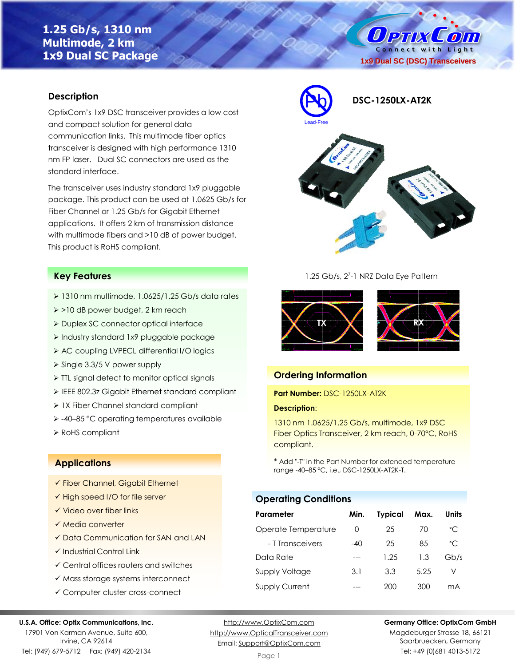# **1.25 Gb/s, 1310 nm Multimode, 2 km 1x9 Dual SC Package**

O PTIX  $\mathcal{L}$  on Connect with Light **1x9 Dual SC (DSC) Transceivers**

### **Description**

OptixCom's 1x9 DSC transceiver provides a low cost and compact solution for general data communication links. This multimode fiber optics transceiver is designed with high performance 1310 nm FP laser. Dual SC connectors are used as the standard interface.

The transceiver uses industry standard 1x9 pluggable package. This product can be used at 1.0625 Gb/s for Fiber Channel or 1.25 Gb/s for Gigabit Ethernet applications. It offers 2 km of transmission distance with multimode fibers and >10 dB of power budget. This product is RoHS compliant.

### **Key Features**

- $\geq 1310$  nm multimode, 1.0625/1.25 Gb/s data rates
- ➢ >10 dB power budget, 2 km reach
- ➢ Duplex SC connector optical interface
- ➢ Industry standard 1x9 pluggable package
- ➢ AC coupling LVPECL differential I/O logics
- ➢ Single 3.3/5 V power supply
- ➢ TTL signal detect to monitor optical signals
- ➢ IEEE 802.3z Gigabit Ethernet standard compliant
- ➢ 1X Fiber Channel standard compliant
- ➢ -40–85 °C operating temperatures available
- ➢ RoHS compliant

### **Applications**

- ✓ Fiber Channel, Gigabit Ethernet
- ✓ High speed I/O for file server
- ✓ Video over fiber links
- ✓ Media converter
- ✓ Data Communication for SAN and LAN
- ✓ Industrial Control Link
- ✓ Central offices routers and switches
- ✓ Mass storage systems interconnect
- ✓ Computer cluster cross-connect

#### **U.S.A. Office: Optix Communications, Inc.**

17901 Von Karman Avenue, Suite 600, Irvine, CA 92614 Tel: (949) 679-5712 Fax: (949) 420-2134

[http://www.OptixCom.com](http://www.optixcom.com/) [http://www.OpticalTransceiver.com](http://www.optoictech.com/) Email: [Support@OptixCom.com](mailto:Support@optoICtech.com)



1.25 Gb/s, 2<sup>7</sup>-1 NRZ Data Eye Pattern



### **Ordering Information**

### **Part Number:** DSC-1250LX-AT2K

#### **Description**:

1310 nm 1.0625/1.25 Gb/s, multimode, 1x9 DSC Fiber Optics Transceiver, 2 km reach, 0-70°C, RoHS compliant.

\* Add "-T" in the Part Number for extended temperature range -40–85 °C, i.e., DSC-1250LX-AT2K-T.

# **Operating Conditions**

| Parameter             | Min.             | <b>Typical</b> | Max. | Units        |
|-----------------------|------------------|----------------|------|--------------|
| Operate Temperature   | $\left( \right)$ | 25             | 70   | $^{\circ}$ C |
| - T Transceivers      | $-40$            | 25             | 85   | $^{\circ}$ C |
| Data Rate             |                  | 1.25           | 1.3  | Gb/s         |
| Supply Voltage        | 3.1              | 3.3            | 5.25 | V            |
| <b>Supply Current</b> |                  | 200            | 300  | mA           |

**Germany Office: OptixCom GmbH**

Magdeburger Strasse 18, 66121 Saarbruecken, Germany Tel: +49 (0)681 4013-5172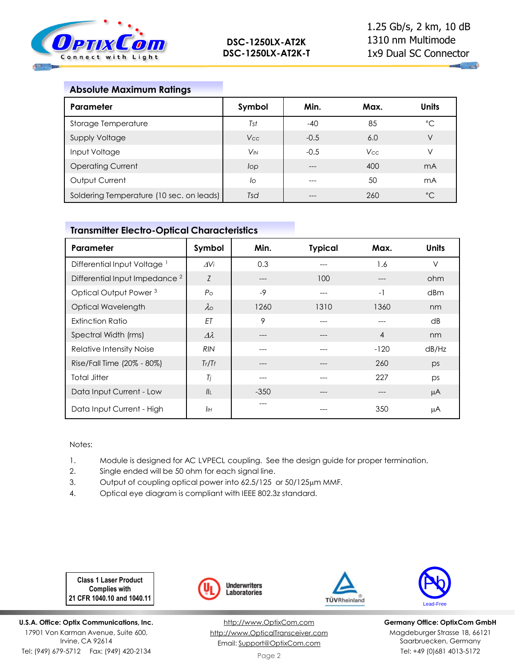

## **Absolute Maximum Ratings**

| Parameter                                | Symbol                | Min.   | Max.       | <b>Units</b> |
|------------------------------------------|-----------------------|--------|------------|--------------|
| Storage Temperature                      | Tst                   | $-40$  | 85         | °C           |
| <b>Supply Voltage</b>                    | <b>Vcc</b>            | $-0.5$ | 6.0        | V            |
| Input Voltage                            | <b>V<sub>IN</sub></b> | $-0.5$ | <b>Vcc</b> | ν            |
| <b>Operating Current</b>                 | lop                   |        | 400        | mA           |
| Output Current                           | lo                    | ---    | 50         | mA           |
| Soldering Temperature (10 sec. on leads) | Tsd                   |        | 260        | $^{\circ}C$  |

### **Transmitter Electro-Optical Characteristics**

| Parameter                                 | Symbol           | Min.   | <b>Typical</b> | Max.           | <b>Units</b> |
|-------------------------------------------|------------------|--------|----------------|----------------|--------------|
| Differential Input Voltage <sup>1</sup>   | $\Delta V$ i     | 0.3    |                | 1.6            | $\vee$       |
| Differential Input Impedance <sup>2</sup> | Z                | ---    | 100            |                | ohm          |
| Optical Output Power <sup>3</sup>         | P <sub>O</sub>   | $-9$   | $---$          | $-1$           | dBm          |
| Optical Wavelength                        | $\lambda$        | 1260   | 1310           | 1360           | nm           |
| <b>Extinction Ratio</b>                   | ET               | 9      |                |                | dB           |
| Spectral Width (rms)                      | $\Delta \lambda$ |        |                | $\overline{4}$ | nm           |
| Relative Intensity Noise                  | <b>RIN</b>       |        |                | $-120$         | dB/Hz        |
| Rise/Fall Time (20% - 80%)                | Tr/Tr            | ---    | $---$          | 260            | ps           |
| <b>Total Jitter</b>                       | Tj               | ---    | ---            | 227            | ps           |
| Data Input Current - Low                  | II <sub>I</sub>  | $-350$ | ---            | $---$          | μA           |
| Data Input Current - High                 | IІн              |        |                | 350            | μA           |

#### Notes:

- 1. Module is designed for AC LVPECL coupling. See the design guide for proper termination.
- 2. Single ended will be 50 ohm for each signal line.
- 3. Output of coupling optical power into 62.5/125 or 50/125µm MMF.
- 4. Optical eye diagram is compliant with IEEE 802.3z standard.

**Class 1 Laser Product Complies with 21 CFR 1040.10 and 1040.11**

**U.S.A. Office: Optix Communications, Inc.** 17901 Von Karman Avenue, Suite 600, Irvine, CA 92614 Tel: (949) 679-5712 Fax: (949) 420-2134









**Germany Office: OptixCom GmbH** Magdeburger Strasse 18, 66121 Saarbruecken, Germany Tel: +49 (0)681 4013-5172